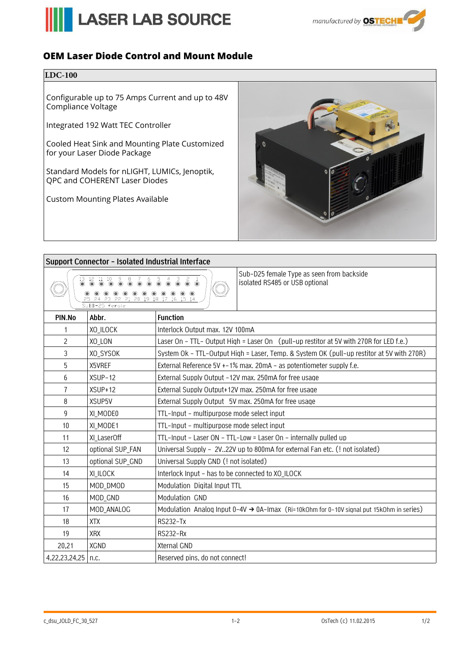



## **OEM Laser Diode Control and Mount Module**

## **LDC-100**

Configurable up to 75 Amps Current and up to 48V Compliance Voltage

Integrated 192 Watt TEC Controller

Cooled Heat Sink and Mounting Plate Customized for your Laser Diode Package

Standard Models for nLIGHT, LUMICs, Jenoptik, QPC and COHERENT Laser Diodes

Custom Mounting Plates Available



## **Support Connector - Isolated Industrial Interface**

|  |  | $13 \t12 \t11 \t10$<br>$\circledcirc$ $\circledcirc$ $\circledcirc$ | $\bullet$                                                                                                                                                                                                                                                                                                                                                                                                                                                                                   |  | $\bullet$ $\bullet$ $\bullet$ | $\ddot{\bullet}$ . | $\overset{4}{\bullet}$ | $\delta$ |  |  |  |
|--|--|---------------------------------------------------------------------|---------------------------------------------------------------------------------------------------------------------------------------------------------------------------------------------------------------------------------------------------------------------------------------------------------------------------------------------------------------------------------------------------------------------------------------------------------------------------------------------|--|-------------------------------|--------------------|------------------------|----------|--|--|--|
|  |  | SUBD-25 female                                                      | $\circledcirc$ $\circledcirc$ $\circledcirc$ $\circledcirc$ $\circledcirc$ $\circledcirc$ $\circledcirc$ $\circledcirc$ $\circledcirc$ $\circledcirc$ $\circledcirc$ $\circledcirc$ $\circledcirc$ $\circledcirc$ $\circledcirc$ $\circledcirc$ $\circledcirc$ $\circledcirc$ $\circledcirc$ $\circledcirc$ $\circledcirc$ $\circledcirc$ $\circledcirc$ $\circledcirc$ $\circledcirc$ $\circledcirc$ $\circledcirc$ $\circledcirc$ $\circledcirc$ $\circledcirc$ $\circledcirc$ $\circled$ |  |                               |                    |                        |          |  |  |  |

Sub-D25 female Type as seen from backside isolated RS485 or USB optional

|                      | CO CH CO CC CL CU 17 10 17 18 19 14<br>SUBD-25 female |                                                                                                       |  |  |  |  |  |  |  |
|----------------------|-------------------------------------------------------|-------------------------------------------------------------------------------------------------------|--|--|--|--|--|--|--|
| PIN.No               | Abbr.                                                 | <b>Function</b>                                                                                       |  |  |  |  |  |  |  |
| 1                    | XO_ILOCK                                              | Interlock Output max. 12V 100mA                                                                       |  |  |  |  |  |  |  |
| $\overline{c}$       | XO_LON                                                | Laser On - TTL- Output High = Laser On (pull-up restitor at 5V with 270R for LED f.e.)                |  |  |  |  |  |  |  |
| 3                    | XO_SYSOK                                              | System Ok - TTL-Output High = Laser, Temp. & System OK (pull-up restitor at 5V with 270R)             |  |  |  |  |  |  |  |
| 5                    | X5VREF                                                | External Reference 5V $+$ -1% max. 20mA – as potentiometer supply f.e.                                |  |  |  |  |  |  |  |
| 6                    | $XSUP-12$                                             | External Supply Output -12V max. 250mA for free usage                                                 |  |  |  |  |  |  |  |
| 7                    | $XSUP + 12$                                           | External Supply Output+12V max. 250mA for free usage                                                  |  |  |  |  |  |  |  |
| 8                    | XSUP <sub>5V</sub>                                    | External Supply Output 5V max. 250mA for free usage                                                   |  |  |  |  |  |  |  |
| 9                    | XI_MODE0                                              | TTL-Input - multipurpose mode select input                                                            |  |  |  |  |  |  |  |
| 10                   | XI_MODE1                                              | TTL-Input - multipurpose mode select input                                                            |  |  |  |  |  |  |  |
| 11                   | XI_LaserOff                                           | TTL-Input - Laser ON - TTL-Low = Laser On - internally pulled up                                      |  |  |  |  |  |  |  |
| 12                   | optional SUP_FAN                                      | Universal Supply - 2V22V up to 800mA for external Fan etc. (! not isolated)                           |  |  |  |  |  |  |  |
| 13                   | optional SUP_GND                                      | Universal Supply GND (! not isolated)                                                                 |  |  |  |  |  |  |  |
| 14                   | XI_ILOCK                                              | Interlock Input - has to be connected to XO_ILOCK                                                     |  |  |  |  |  |  |  |
| 15                   | MOD_DMOD                                              | Modulation Digital Input TTL                                                                          |  |  |  |  |  |  |  |
| 16                   | MOD_GND                                               | Modulation GND                                                                                        |  |  |  |  |  |  |  |
| 17                   | MOD_ANALOG                                            | Modulation Analog Input $0-4V \rightarrow 0A$ -Imax (Ri=10kOhm for 0-10V signal put 15kOhm in series) |  |  |  |  |  |  |  |
| 18                   | <b>XTX</b>                                            | <b>RS232-Tx</b>                                                                                       |  |  |  |  |  |  |  |
| 19                   | <b>XRX</b>                                            | <b>RS232-Rx</b>                                                                                       |  |  |  |  |  |  |  |
| 20,21                | <b>XGND</b>                                           | <b>Xternal GND</b>                                                                                    |  |  |  |  |  |  |  |
| 4,22,23,24,25   n.c. |                                                       | Reserved pins, do not connect!                                                                        |  |  |  |  |  |  |  |